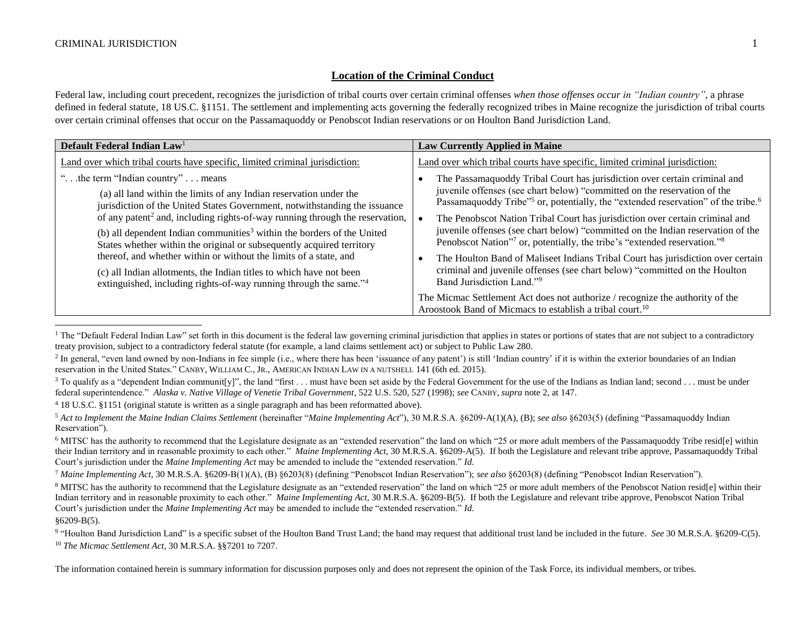## **Location of the Criminal Conduct**

Federal law, including court precedent, recognizes the jurisdiction of tribal courts over certain criminal offenses *when those offenses occur in "Indian country"*, a phrase defined in federal statute, 18 US.C. §1151. The settlement and implementing acts governing the federally recognized tribes in Maine recognize the jurisdiction of tribal courts over certain criminal offenses that occur on the Passamaquoddy or Penobscot Indian reservations or on Houlton Band Jurisdiction Land.

<span id="page-0-0"></span>

| Default Federal Indian Law <sup>1</sup>                                                  | <b>Law Currently Applied in Maine</b>                                                                                                                 |
|------------------------------------------------------------------------------------------|-------------------------------------------------------------------------------------------------------------------------------------------------------|
| Land over which tribal courts have specific, limited criminal jurisdiction:              | Land over which tribal courts have specific, limited criminal jurisdiction:                                                                           |
| " the term "Indian country"  means                                                       | The Passamaquoddy Tribal Court has jurisdiction over certain criminal and                                                                             |
| (a) all land within the limits of any Indian reservation under the                       | juvenile offenses (see chart below) "committed on the reservation of the                                                                              |
| jurisdiction of the United States Government, notwithstanding the issuance               | Passamaquoddy Tribe" <sup>5</sup> or, potentially, the "extended reservation" of the tribe. <sup>6</sup>                                              |
| of any patent <sup>2</sup> and, including rights-of-way running through the reservation, | The Penobscot Nation Tribal Court has jurisdiction over certain criminal and                                                                          |
| (b) all dependent Indian communities <sup>3</sup> within the borders of the United       | juvenile offenses (see chart below) "committed on the Indian reservation of the                                                                       |
| States whether within the original or subsequently acquired territory                    | Penobscot Nation"7 or, potentially, the tribe's "extended reservation."8                                                                              |
| thereof, and whether within or without the limits of a state, and                        | The Houlton Band of Maliseet Indians Tribal Court has jurisdiction over certain                                                                       |
| (c) all Indian allotments, the Indian titles to which have not been                      | criminal and juvenile offenses (see chart below) "committed on the Houlton                                                                            |
| extinguished, including rights-of-way running through the same." <sup>4</sup>            | Band Jurisdiction Land."9                                                                                                                             |
|                                                                                          | The Micmac Settlement Act does not authorize / recognize the authority of the<br>Aroostook Band of Micmacs to establish a tribal court. <sup>10</sup> |

 $1$  The "Default Federal Indian Law" set forth in this document is the federal law governing criminal jurisdiction that applies in states or portions of states that are not subject to a contradictory treaty provision, subject to a contradictory federal statute (for example, a land claims settlement act) or subject to Public Law 280.

<sup>4</sup> 18 U.S.C. §1151 (original statute is written as a single paragraph and has been reformatted above).

§6209-B(5).

l

<sup>10</sup> *The Micmac Settlement Act*, 30 M.R.S.A. §§7201 to 7207.

<sup>&</sup>lt;sup>2</sup> In general, "even land owned by non-Indians in fee simple (i.e., where there has been 'issuance of any patent') is still 'Indian country' if it is within the exterior boundaries of an Indian reservation in the United States." CANBY, WILLIAM C., JR., AMERICAN INDIAN LAW IN A NUTSHELL 141 (6th ed. 2015).

<sup>&</sup>lt;sup>3</sup> To qualify as a "dependent Indian communit[y]", the land "first . . . must have been set aside by the Federal Government for the use of the Indians as Indian land; second . . . must be under federal superintendence." *Alaska v. Native Village of Venetie Tribal Government*, 522 U.S. 520, 527 (1998); *see* CANBY, *supra* not[e 2,](#page-0-0) at 147.

<sup>5</sup> *Act to Implement the Maine Indian Claims Settlement* (hereinafter "*Maine Implementing Act*"), 30 M.R.S.A. §6209-A(1)(A), (B); *see also* §6203(5) (defining "Passamaquoddy Indian Reservation").

<sup>&</sup>lt;sup>6</sup> MITSC has the authority to recommend that the Legislature designate as an "extended reservation" the land on which "25 or more adult members of the Passamaquoddy Tribe resid[e] within their Indian territory and in reasonable proximity to each other." *Maine Implementing Act,* 30 M.R.S.A. §6209-A(5). If both the Legislature and relevant tribe approve, Passamaquoddy Tribal Court's jurisdiction under the *Maine Implementing Act* may be amended to include the "extended reservation." *Id.*

<sup>7</sup> *Maine Implementing Act*, 30 M.R.S.A. §6209-B(1)(A), (B) §6203(8) (defining "Penobscot Indian Reservation"); *see also* §6203(8) (defining "Penobscot Indian Reservation").

<sup>&</sup>lt;sup>8</sup> MITSC has the authority to recommend that the Legislature designate as an "extended reservation" the land on which "25 or more adult members of the Penobscot Nation residel within their Indian territory and in reasonable proximity to each other." *Maine Implementing Act,* 30 M.R.S.A. §6209-B(5). If both the Legislature and relevant tribe approve, Penobscot Nation Tribal Court's jurisdiction under the *Maine Implementing Act* may be amended to include the "extended reservation." *Id.*

<sup>&</sup>lt;sup>9</sup> "Houlton Band Jurisdiction Land" is a specific subset of the Houlton Band Trust Land; the band may request that additional trust land be included in the future. *See* 30 M.R.S.A. §6209-C(5).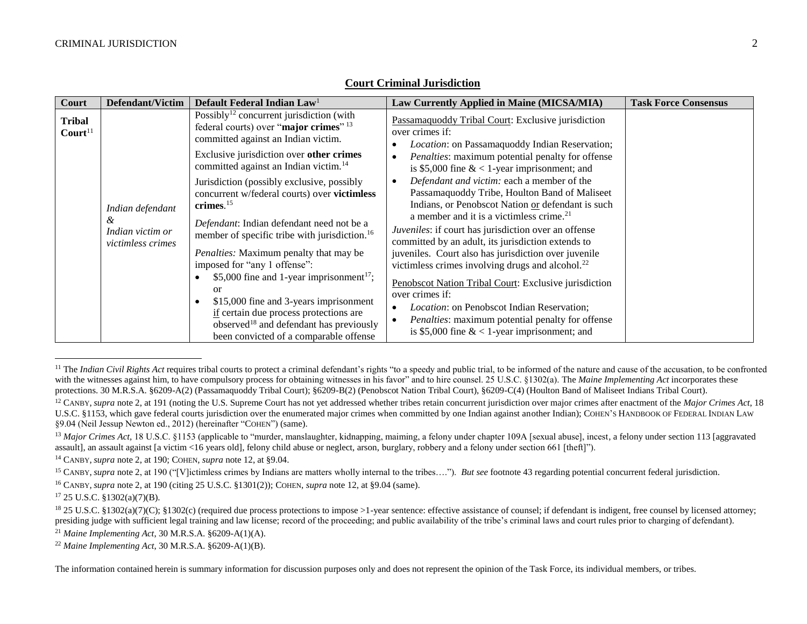| Court                | <b>Defendant/Victim</b>                                        | Default Federal Indian Law <sup>1</sup>                                                                                                                                                                                                                                                                                                                                                                       | Law Currently Applied in Maine (MICSA/MIA)                                                                                                                                                                                                                                                                                                                                                                                                                                                                                                                                                        | <b>Task Force Consensus</b> |
|----------------------|----------------------------------------------------------------|---------------------------------------------------------------------------------------------------------------------------------------------------------------------------------------------------------------------------------------------------------------------------------------------------------------------------------------------------------------------------------------------------------------|---------------------------------------------------------------------------------------------------------------------------------------------------------------------------------------------------------------------------------------------------------------------------------------------------------------------------------------------------------------------------------------------------------------------------------------------------------------------------------------------------------------------------------------------------------------------------------------------------|-----------------------------|
| Tribal<br>$ Court11$ |                                                                | Possibly <sup>12</sup> concurrent jurisdiction (with<br>federal courts) over "major crimes" 13<br>committed against an Indian victim.                                                                                                                                                                                                                                                                         | Passamaquoddy Tribal Court: Exclusive jurisdiction<br>over crimes if:<br>Location: on Passamaquoddy Indian Reservation;<br>٠                                                                                                                                                                                                                                                                                                                                                                                                                                                                      |                             |
|                      |                                                                | Exclusive jurisdiction over other crimes<br>committed against an Indian victim. <sup>14</sup>                                                                                                                                                                                                                                                                                                                 | Penalties: maximum potential penalty for offense<br>$\bullet$<br>is \$5,000 fine $< 1$ -year imprisonment; and                                                                                                                                                                                                                                                                                                                                                                                                                                                                                    |                             |
|                      | Indian defendant<br>&<br>Indian victim or<br>victimless crimes | Jurisdiction (possibly exclusive, possibly<br>concurrent w/federal courts) over victimless<br>crimes. $15$<br>Defendant: Indian defendant need not be a<br>member of specific tribe with jurisdiction. <sup>16</sup><br>Penalties: Maximum penalty that may be<br>imposed for "any 1 offense":<br>\$5,000 fine and 1-year imprisonment <sup>17</sup> ;<br><b>or</b><br>\$15,000 fine and 3-years imprisonment | Defendant and victim: each a member of the<br>$\bullet$<br>Passamaquoddy Tribe, Houlton Band of Maliseet<br>Indians, or Penobscot Nation or defendant is such<br>a member and it is a victimless crime. <sup>21</sup><br>Juveniles: if court has jurisdiction over an offense<br>committed by an adult, its jurisdiction extends to<br>juveniles. Court also has jurisdiction over juvenile<br>victimless crimes involving drugs and alcohol. <sup>22</sup><br>Penobscot Nation Tribal Court: Exclusive jurisdiction<br>over crimes if:<br><i>Location:</i> on Penobscot Indian Reservation;<br>٠ |                             |
|                      |                                                                | if certain due process protections are<br>observed <sup>18</sup> and defendant has previously<br>been convicted of a comparable offense                                                                                                                                                                                                                                                                       | <i>Penalties:</i> maximum potential penalty for offense<br>$\bullet$<br>is \$5,000 fine $< 1$ -year imprisonment; and                                                                                                                                                                                                                                                                                                                                                                                                                                                                             |                             |

### <span id="page-1-0"></span>**Court Criminal Jurisdiction**

l

<sup>&</sup>lt;sup>11</sup> The *Indian Civil Rights Act* requires tribal courts to protect a criminal defendant's rights "to a speedy and public trial, to be informed of the nature and cause of the accusation, to be confronted with the witnesses against him, to have compulsory process for obtaining witnesses in his favor" and to hire counsel. 25 U.S.C. §1302(a). The *Maine Implementing Act* incorporates these protections. 30 M.R.S.A. §6209-A(2) (Passamaquoddy Tribal Court); §6209-B(2) (Penobscot Nation Tribal Court), §6209-C(4) (Houlton Band of Maliseet Indians Tribal Court).

<sup>12</sup> CANBY, *supra* not[e 2,](#page-0-0) at 191 (noting the U.S. Supreme Court has not yet addressed whether tribes retain concurrent jurisdiction over major crimes after enactment of the *Major Crimes Act*, 18 U.S.C. §1153, which gave federal courts jurisdiction over the enumerated major crimes when committed by one Indian against another Indian); COHEN'S HANDBOOK OF FEDERAL INDIAN LAW §9.04 (Neil Jessup Newton ed., 2012) (hereinafter "COHEN") (same).

<sup>&</sup>lt;sup>13</sup> Major Crimes Act, 18 U.S.C. §1153 (applicable to "murder, manslaughter, kidnapping, maiming, a felony under chapter 109A [sexual abuse], incest, a felony under section 113 [aggravated assault], an assault against [a victim <16 years old], felony child abuse or neglect, arson, burglary, robbery and a felony under section 661 [theft]").

<sup>14</sup> CANBY, *supra* not[e 2,](#page-0-0) at 190; COHEN, *supra* note [12,](#page-1-0) at §9.04.

<sup>&</sup>lt;sup>15</sup> CANBY, *supra* not[e 2,](#page-0-0) at 190 ("[V]ictimless crimes by Indians are matters wholly internal to the tribes..."). *But see* footnote [43](#page-5-0) regarding potential concurrent federal jurisdiction.

<sup>16</sup> CANBY, *supra* not[e 2,](#page-0-0) at 190 (citing 25 U.S.C. §1301(2)); COHEN, *supra* note [12,](#page-1-0) at §9.04 (same).

<sup>17</sup> 25 U.S.C. §1302(a)(7)(B).

<sup>&</sup>lt;sup>18</sup> 25 U.S.C. §1302(a)(7)(C); §1302(c) (required due process protections to impose >1-year sentence: effective assistance of counsel; if defendant is indigent, free counsel by licensed attorney; presiding judge with sufficient legal training and law license; record of the proceeding; and public availability of the tribe's criminal laws and court rules prior to charging of defendant).

<sup>21</sup> *Maine Implementing Act*, 30 M.R.S.A. §6209-A(1)(A).

<sup>22</sup> *Maine Implementing Act*, 30 M.R.S.A. §6209-A(1)(B).

The information contained herein is summary information for discussion purposes only and does not represent the opinion of the Task Force, its individual members, or tribes.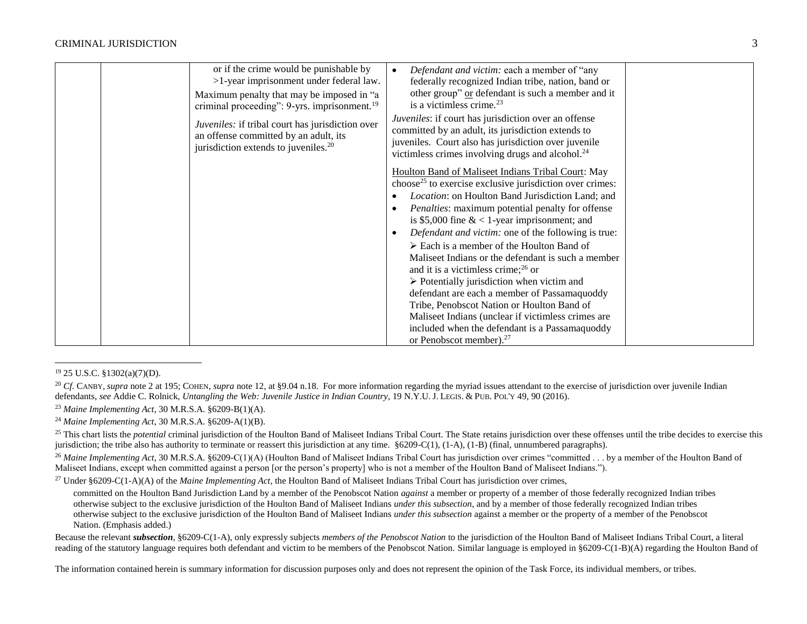| or if the crime would be punishable by<br>>1-year imprisonment under federal law.<br>Maximum penalty that may be imposed in "a<br>criminal proceeding": 9-yrs. imprisonment. <sup>19</sup><br>Juveniles: if tribal court has jurisdiction over<br>an offense committed by an adult, its<br>jurisdiction extends to juveniles. <sup>20</sup> | Defendant and victim: each a member of "any<br>federally recognized Indian tribe, nation, band or<br>other group" or defendant is such a member and it<br>is a victimless crime. <sup>23</sup><br>Juveniles: if court has jurisdiction over an offense<br>committed by an adult, its jurisdiction extends to<br>juveniles. Court also has jurisdiction over juvenile<br>victimless crimes involving drugs and alcohol. <sup>24</sup><br>Houlton Band of Maliseet Indians Tribal Court: May<br>choose <sup>25</sup> to exercise exclusive jurisdiction over crimes:<br>Location: on Houlton Band Jurisdiction Land; and<br><i>Penalties:</i> maximum potential penalty for offense<br>is \$5,000 fine $< 1$ -year imprisonment; and<br>Defendant and victim: one of the following is true:<br>$\triangleright$ Each is a member of the Houlton Band of<br>Maliseet Indians or the defendant is such a member<br>and it is a victimless crime; $^{26}$ or<br>$\triangleright$ Potentially jurisdiction when victim and<br>defendant are each a member of Passamaquoddy<br>Tribe, Penobscot Nation or Houlton Band of<br>Maliseet Indians (unclear if victimless crimes are<br>included when the defendant is a Passamaquoddy<br>or Penobscot member). <sup>27</sup> |  |
|---------------------------------------------------------------------------------------------------------------------------------------------------------------------------------------------------------------------------------------------------------------------------------------------------------------------------------------------|-------------------------------------------------------------------------------------------------------------------------------------------------------------------------------------------------------------------------------------------------------------------------------------------------------------------------------------------------------------------------------------------------------------------------------------------------------------------------------------------------------------------------------------------------------------------------------------------------------------------------------------------------------------------------------------------------------------------------------------------------------------------------------------------------------------------------------------------------------------------------------------------------------------------------------------------------------------------------------------------------------------------------------------------------------------------------------------------------------------------------------------------------------------------------------------------------------------------------------------------------------------------|--|
|---------------------------------------------------------------------------------------------------------------------------------------------------------------------------------------------------------------------------------------------------------------------------------------------------------------------------------------------|-------------------------------------------------------------------------------------------------------------------------------------------------------------------------------------------------------------------------------------------------------------------------------------------------------------------------------------------------------------------------------------------------------------------------------------------------------------------------------------------------------------------------------------------------------------------------------------------------------------------------------------------------------------------------------------------------------------------------------------------------------------------------------------------------------------------------------------------------------------------------------------------------------------------------------------------------------------------------------------------------------------------------------------------------------------------------------------------------------------------------------------------------------------------------------------------------------------------------------------------------------------------|--|

#### <sup>19</sup> 25 U.S.C. §1302(a)(7)(D).

 $\overline{a}$ 

<sup>20</sup> Cf. CANBY, *supra* not[e 2](#page-0-0) at 195; COHEN, *supra* note [12,](#page-1-0) at §9.04 n.18. For more information regarding the myriad issues attendant to the exercise of jurisdiction over juvenile Indian defendants, *see* Addie C. Rolnick, *Untangling the Web: Juvenile Justice in Indian Country*, 19 N.Y.U. J. LEGIS. & PUB. POL'Y 49, 90 (2016).

<sup>23</sup> *Maine Implementing Act*, 30 M.R.S.A. §6209-B(1)(A).

<sup>24</sup> *Maine Implementing Act*, 30 M.R.S.A. §6209-A(1)(B).

<sup>25</sup> This chart lists the *potential* criminal jurisdiction of the Houlton Band of Maliseet Indians Tribal Court. The State retains jurisdiction over these offenses until the tribe decides to exercise this jurisdiction; the tribe also has authority to terminate or reassert this jurisdiction at any time. §6209-C(1), (1-A), (1-B) (final, unnumbered paragraphs).

<sup>26</sup> Maine Implementing Act, 30 M.R.S.A. §6209-C(1)(A) (Houlton Band of Maliseet Indians Tribal Court has jurisdiction over crimes "committed . . . by a member of the Houlton Band of Maliseet Indians, except when committed against a person [or the person's property] who is not a member of the Houlton Band of Maliseet Indians.").

<sup>27</sup> Under §6209-C(1-A)(A) of the *Maine Implementing Act*, the Houlton Band of Maliseet Indians Tribal Court has jurisdiction over crimes,

committed on the Houlton Band Jurisdiction Land by a member of the Penobscot Nation *against* a member or property of a member of those federally recognized Indian tribes otherwise subject to the exclusive jurisdiction of the Houlton Band of Maliseet Indians *under this subsection*, and by a member of those federally recognized Indian tribes otherwise subject to the exclusive jurisdiction of the Houlton Band of Maliseet Indians *under this subsection* against a member or the property of a member of the Penobscot Nation. (Emphasis added.)

Because the relevant *subsection*, §6209-C(1-A), only expressly subjects *members of the Penobscot Nation* to the jurisdiction of the Houlton Band of Maliseet Indians Tribal Court, a literal reading of the statutory language requires both defendant and victim to be members of the Penobscot Nation. Similar language is employed in §6209-C(1-B)(A) regarding the Houlton Band of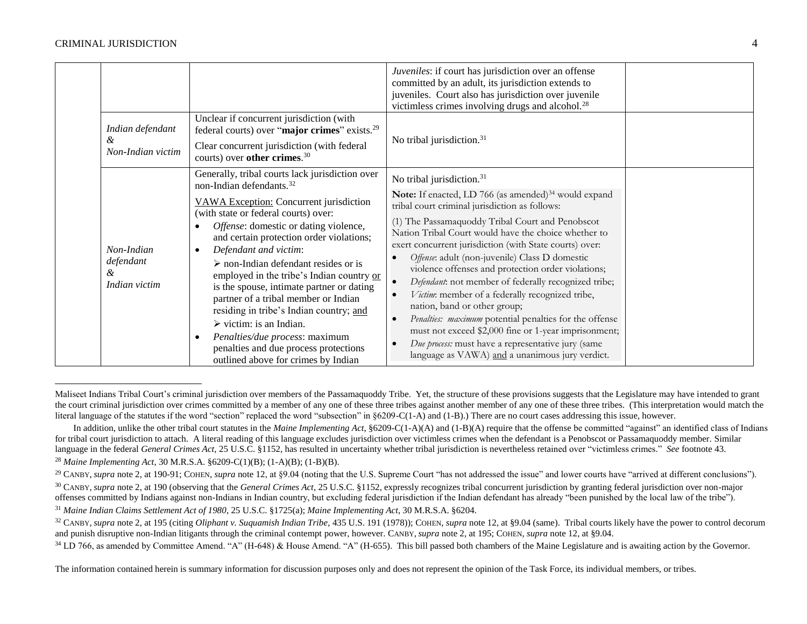<span id="page-3-1"></span><span id="page-3-0"></span>

|                                               |                                                                                                                                                                                                                                                                                                                                                                                                                                                                                                                                                                                                                                                                                                                         | Juveniles: if court has jurisdiction over an offense<br>committed by an adult, its jurisdiction extends to<br>juveniles. Court also has jurisdiction over juvenile<br>victimless crimes involving drugs and alcohol. <sup>28</sup>                                                                                                                                                                                                                                                                                                                                                                                                                                                                                                                                                                               |  |
|-----------------------------------------------|-------------------------------------------------------------------------------------------------------------------------------------------------------------------------------------------------------------------------------------------------------------------------------------------------------------------------------------------------------------------------------------------------------------------------------------------------------------------------------------------------------------------------------------------------------------------------------------------------------------------------------------------------------------------------------------------------------------------------|------------------------------------------------------------------------------------------------------------------------------------------------------------------------------------------------------------------------------------------------------------------------------------------------------------------------------------------------------------------------------------------------------------------------------------------------------------------------------------------------------------------------------------------------------------------------------------------------------------------------------------------------------------------------------------------------------------------------------------------------------------------------------------------------------------------|--|
| Indian defendant<br>ά<br>Non-Indian victim    | Unclear if concurrent jurisdiction (with<br>federal courts) over "major crimes" exists. <sup>29</sup><br>Clear concurrent jurisdiction (with federal<br>courts) over other crimes. <sup>30</sup>                                                                                                                                                                                                                                                                                                                                                                                                                                                                                                                        | No tribal jurisdiction. <sup>31</sup>                                                                                                                                                                                                                                                                                                                                                                                                                                                                                                                                                                                                                                                                                                                                                                            |  |
| Non-Indian<br>defendant<br>&<br>Indian victim | Generally, tribal courts lack jurisdiction over<br>non-Indian defendants. <sup>32</sup><br>VAWA Exception: Concurrent jurisdiction<br>(with state or federal courts) over:<br>Offense: domestic or dating violence,<br>٠<br>and certain protection order violations;<br>Defendant and victim:<br>$\bullet$<br>$\triangleright$ non-Indian defendant resides or is<br>employed in the tribe's Indian country or<br>is the spouse, intimate partner or dating<br>partner of a tribal member or Indian<br>residing in tribe's Indian country; and<br>$\triangleright$ victim: is an Indian.<br>Penalties/due process: maximum<br>$\bullet$<br>penalties and due process protections<br>outlined above for crimes by Indian | No tribal jurisdiction. <sup>31</sup><br>Note: If enacted, LD 766 (as amended) <sup>34</sup> would expand<br>tribal court criminal jurisdiction as follows:<br>(1) The Passamaquoddy Tribal Court and Penobscot<br>Nation Tribal Court would have the choice whether to<br>exert concurrent jurisdiction (with State courts) over:<br>Offense: adult (non-juvenile) Class D domestic<br>violence offenses and protection order violations;<br>Defendant: not member of federally recognized tribe;<br>Victim: member of a federally recognized tribe,<br>nation, band or other group;<br>Penalties: maximum potential penalties for the offense<br>must not exceed \$2,000 fine or 1-year imprisonment;<br>Due process: must have a representative jury (same<br>language as VAWA) and a unanimous jury verdict. |  |

l Maliseet Indians Tribal Court's criminal jurisdiction over members of the Passamaguoddy Tribe. Yet, the structure of these provisions suggests that the Legislature may have intended to grant the court criminal jurisdiction over crimes committed by a member of any one of these three tribes against another member of any one of these three tribes. (This interpretation would match the literal language of the statutes if the word "section" replaced the word "subsection" in §6209-C(1-A) and (1-B).) There are no court cases addressing this issue, however.

In addition, unlike the other tribal court statutes in the *Maine Implementing Act*, §6209-C(1-A)(A) and (1-B)(A) require that the offense be committed "against" an identified class of Indians for tribal court jurisdiction to attach. A literal reading of this language excludes jurisdiction over victimless crimes when the defendant is a Penobscot or Passamaquoddy member. Similar language in the federal *General Crimes Act*, 25 U.S.C. §1152, has resulted in uncertainty whether tribal jurisdiction is nevertheless retained over "victimless crimes." *See* footnot[e 43.](#page-5-0) <sup>28</sup> *Maine Implementing Act*, 30 M.R.S.A. §6209-C(1)(B); (1-A)(B); (1-B)(B).

<sup>&</sup>lt;sup>29</sup> CANBY, *supra* not[e 2,](#page-0-0) at 190-91; COHEN, *supra* note [12,](#page-1-0) at §9.04 (noting that the U.S. Supreme Court "has not addressed the issue" and lower courts have "arrived at different conclusions").

<sup>&</sup>lt;sup>30</sup> CANBY, *supra* not[e 2,](#page-0-0) at 190 (observing that the *General Crimes Act*, 25 U.S.C. §1152, expressly recognizes tribal concurrent jurisdiction by granting federal jurisdiction over non-major offenses committed by Indians against non-Indians in Indian country, but excluding federal jurisdiction if the Indian defendant has already "been punished by the local law of the tribe").

<sup>31</sup> *Maine Indian Claims Settlement Act of 1980*, 25 U.S.C. §1725(a); *Maine Implementing Act*, 30 M.R.S.A. §6204.

<sup>32</sup> CANBY, *supra* not[e 2,](#page-0-0) at 195 (citing *Oliphant v. Suquamish Indian Tribe*, 435 U.S. 191 (1978)); COHEN, *supra* not[e 12,](#page-1-0) at §9.04 (same). Tribal courts likely have the power to control decorum and punish disruptive non-Indian litigants through the criminal contempt power, however. CANBY, *supra* note [2,](#page-0-0) at 195; COHEN, *supra* not[e 12,](#page-1-0) at §9.04.

<sup>&</sup>lt;sup>34</sup> LD 766, as amended by Committee Amend. "A" (H-648) & House Amend. "A" (H-655). This bill passed both chambers of the Maine Legislature and is awaiting action by the Governor.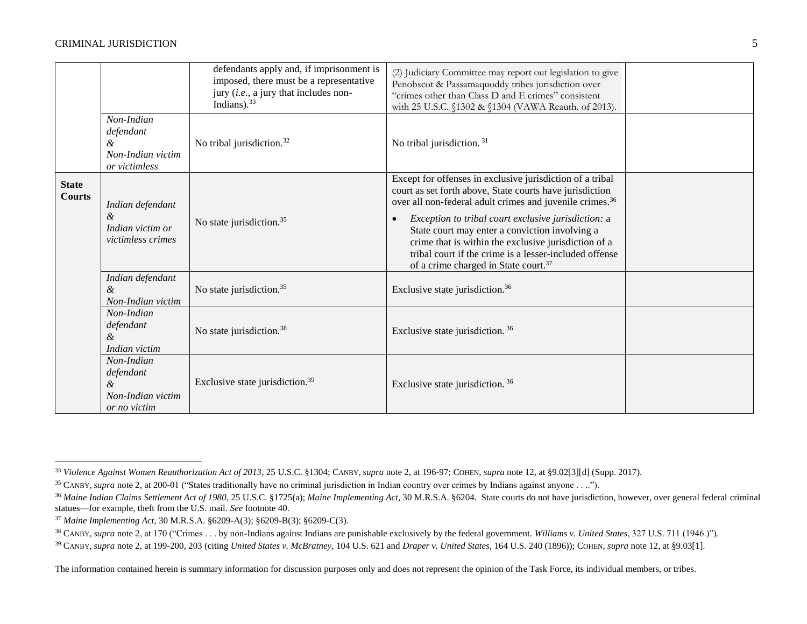#### CRIMINAL JURISDICTION 5

<span id="page-4-0"></span>

|                               |                                                                    | defendants apply and, if imprisonment is<br>imposed, there must be a representative<br>jury (i.e., a jury that includes non-<br>Indians). $33$ | (2) Judiciary Committee may report out legislation to give<br>Penobscot & Passamaquoddy tribes jurisdiction over<br>"crimes other than Class D and E crimes" consistent<br>with 25 U.S.C. §1302 & §1304 (VAWA Reauth. of 2013).                                                                                                                                                                                                                                                           |  |
|-------------------------------|--------------------------------------------------------------------|------------------------------------------------------------------------------------------------------------------------------------------------|-------------------------------------------------------------------------------------------------------------------------------------------------------------------------------------------------------------------------------------------------------------------------------------------------------------------------------------------------------------------------------------------------------------------------------------------------------------------------------------------|--|
|                               | Non-Indian<br>defendant<br>&<br>Non-Indian victim<br>or victimless | No tribal jurisdiction. <sup>32</sup>                                                                                                          | No tribal jurisdiction. <sup>31</sup>                                                                                                                                                                                                                                                                                                                                                                                                                                                     |  |
| <b>State</b><br><b>Courts</b> | Indian defendant<br>&<br>Indian victim or<br>victimless crimes     | No state jurisdiction. <sup>35</sup>                                                                                                           | Except for offenses in exclusive jurisdiction of a tribal<br>court as set forth above, State courts have jurisdiction<br>over all non-federal adult crimes and juvenile crimes. <sup>36</sup><br>Exception to tribal court exclusive jurisdiction: a<br>$\bullet$<br>State court may enter a conviction involving a<br>crime that is within the exclusive jurisdiction of a<br>tribal court if the crime is a lesser-included offense<br>of a crime charged in State court. <sup>37</sup> |  |
|                               | Indian defendant<br>&<br>Non-Indian victim                         | No state jurisdiction. <sup>35</sup>                                                                                                           | Exclusive state jurisdiction. <sup>36</sup>                                                                                                                                                                                                                                                                                                                                                                                                                                               |  |
|                               | Non-Indian<br>defendant<br>&<br>Indian victim                      | No state jurisdiction. <sup>38</sup>                                                                                                           | Exclusive state jurisdiction. <sup>36</sup>                                                                                                                                                                                                                                                                                                                                                                                                                                               |  |
|                               | Non-Indian<br>defendant<br>&<br>Non-Indian victim<br>or no victim  | Exclusive state jurisdiction. <sup>39</sup>                                                                                                    | Exclusive state jurisdiction. <sup>36</sup>                                                                                                                                                                                                                                                                                                                                                                                                                                               |  |

 $\overline{a}$ <sup>33</sup> *Violence Against Women Reauthorization Act of 2013*, 25 U.S.C. §1304; CANBY, *supra* not[e 2,](#page-0-0) at 196-97; COHEN, *supra* not[e 12,](#page-1-0) at §9.02[3][d] (Supp. 2017).

<sup>&</sup>lt;sup>35</sup> CANBY, *supra* not[e 2,](#page-0-0) at 200-01 ("States traditionally have no criminal jurisdiction in Indian country over crimes by Indians against anyone . . ..").

<sup>36</sup> *Maine Indian Claims Settlement Act of 1980*, 25 U.S.C. §1725(a); *Maine Implementing Act*, 30 M.R.S.A. §6204. State courts do not have jurisdiction, however, over general federal criminal statues—for example, theft from the U.S. mail. *See* footnot[e 40.](#page-5-1)

<sup>37</sup> *Maine Implementing Act*, 30 M.R.S.A. §6209-A(3); §6209-B(3); §6209-C(3).

<sup>&</sup>lt;sup>38</sup> CANBY, *supra* not[e 2,](#page-0-0) at 170 ("Crimes . . . by non-Indians against Indians are punishable exclusively by the federal government. *Williams v. United States*, 327 U.S. 711 (1946.)").

<sup>39</sup> CANBY, *supra* not[e 2,](#page-0-0) at 199-200, 203 (citing *United States v. McBratney*, 104 U.S. 621 and *Draper v. United States*, 164 U.S. 240 (1896)); COHEN, *supra* not[e 12,](#page-1-0) at §9.03[1].

The information contained herein is summary information for discussion purposes only and does not represent the opinion of the Task Force, its individual members, or tribes.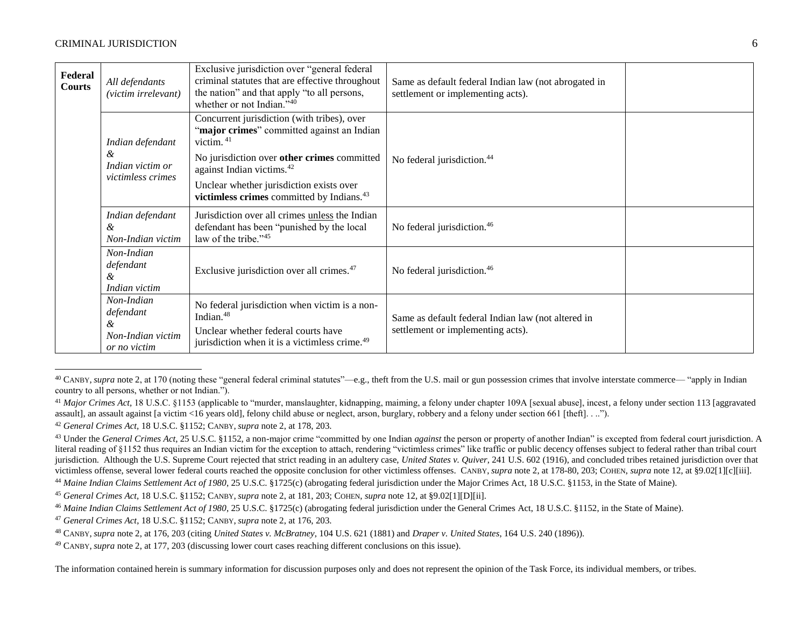#### CRIMINAL JURISDICTION 6

<span id="page-5-2"></span> $\overline{a}$ 

<span id="page-5-1"></span><span id="page-5-0"></span>

| Federal<br>Courts | All defendants<br>(victim irrelevant)                             | Exclusive jurisdiction over "general federal<br>criminal statutes that are effective throughout<br>the nation" and that apply "to all persons,<br>whether or not Indian."40 | Same as default federal Indian law (not abrogated in<br>settlement or implementing acts). |  |
|-------------------|-------------------------------------------------------------------|-----------------------------------------------------------------------------------------------------------------------------------------------------------------------------|-------------------------------------------------------------------------------------------|--|
|                   | Indian defendant<br>&                                             | Concurrent jurisdiction (with tribes), over<br>"major crimes" committed against an Indian<br>victim. $41$<br>No jurisdiction over other crimes committed                    | No federal jurisdiction. <sup>44</sup>                                                    |  |
|                   | Indian victim or<br>victimless crimes                             | against Indian victims. <sup>42</sup><br>Unclear whether jurisdiction exists over<br>victimless crimes committed by Indians. <sup>43</sup>                                  |                                                                                           |  |
|                   | Indian defendant<br>&<br>Non-Indian victim                        | Jurisdiction over all crimes unless the Indian<br>defendant has been "punished by the local<br>law of the tribe."45                                                         | No federal jurisdiction. <sup>46</sup>                                                    |  |
|                   | Non-Indian<br>defendant<br>&<br>Indian victim                     | Exclusive jurisdiction over all crimes. <sup>47</sup>                                                                                                                       | No federal jurisdiction. <sup>46</sup>                                                    |  |
|                   | Non-Indian<br>defendant<br>&<br>Non-Indian victim<br>or no victim | No federal jurisdiction when victim is a non-<br>Indian. <sup>48</sup><br>Unclear whether federal courts have<br>jurisdiction when it is a victimless crime. <sup>49</sup>  | Same as default federal Indian law (not altered in<br>settlement or implementing acts).   |  |

<sup>40</sup> CANBY, *supra* not[e 2,](#page-0-0) at 170 (noting these "general federal criminal statutes"—e.g., theft from the U.S. mail or gun possession crimes that involve interstate commerce— "apply in Indian country to all persons, whether or not Indian.").

<sup>&</sup>lt;sup>41</sup> Major Crimes Act, 18 U.S.C. §1153 (applicable to "murder, manslaughter, kidnapping, maiming, a felony under chapter 109A [sexual abuse], incest, a felony under section 113 [aggravated assault], an assault against [a victim <16 years old], felony child abuse or neglect, arson, burglary, robbery and a felony under section 661 [theft]. . ..").

<sup>42</sup> *General Crimes Act,* 18 U.S.C. §1152; CANBY, *supra* note [2,](#page-0-0) at 178, 203.

<sup>&</sup>lt;sup>43</sup> Under the *General Crimes Act*, 25 U.S.C. §1152, a non-major crime "committed by one Indian *against* the person or property of another Indian" is excepted from federal court jurisdiction. A literal reading of §1152 thus requires an Indian victim for the exception to attach, rendering "victimless crimes" like traffic or public decency offenses subject to federal rather than tribal court jurisdiction. Although the U.S. Supreme Court rejected that strict reading in an adultery case, *United States v. Quiver*, 241 U.S. 602 (1916), and concluded tribes retained jurisdiction over that victimless offense, several lower federal courts reached the opposite conclusion for other victimless offenses. CANBY, *supra* not[e 2,](#page-0-0) at 178-80, 203; COHEN, *supra* note [12,](#page-1-0) at §9.02[1][c][iii].

<sup>&</sup>lt;sup>44</sup> Maine Indian Claims Settlement Act of 1980, 25 U.S.C. §1725(c) (abrogating federal jurisdiction under the Major Crimes Act, 18 U.S.C. §1153, in the State of Maine).

<sup>45</sup> *General Crimes Act,* 18 U.S.C. §1152; CANBY, *supra* note [2,](#page-0-0) at 181, 203; COHEN, *supra* not[e 12,](#page-1-0) at §9.02[1][D][ii].

<sup>&</sup>lt;sup>46</sup> Maine Indian Claims Settlement Act of 1980, 25 U.S.C. §1725(c) (abrogating federal jurisdiction under the General Crimes Act, 18 U.S.C. §1152, in the State of Maine).

<sup>47</sup> *General Crimes Act*, 18 U.S.C. §1152; CANBY, *supra* note [2,](#page-0-0) at 176, 203.

<sup>48</sup> CANBY, *supra* not[e 2,](#page-0-0) at 176, 203 (citing *United States v. McBratney*, 104 U.S. 621 (1881) and *Draper v. United States*, 164 U.S. 240 (1896)).

<sup>49</sup> CANBY, *supra* not[e 2,](#page-0-0) at 177, 203 (discussing lower court cases reaching different conclusions on this issue).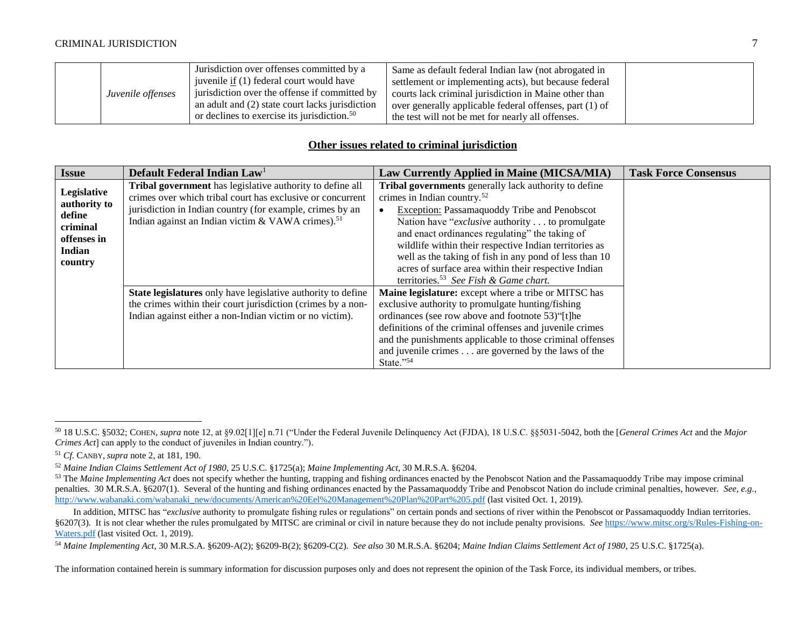| Juvenile offenses | Jurisdiction over offenses committed by a<br>juvenile <u>if</u> (1) federal court would have<br>jurisdiction over the offense if committed by<br>an adult and (2) state court lacks jurisdiction<br>or declines to exercise its jurisdiction. <sup>50</sup> | Same as default federal Indian law (not abrogated in<br>settlement or implementing acts), but because federal<br>courts lack criminal jurisdiction in Maine other than<br>over generally applicable federal offenses, part (1) of<br>the test will not be met for nearly all offenses. |  |
|-------------------|-------------------------------------------------------------------------------------------------------------------------------------------------------------------------------------------------------------------------------------------------------------|----------------------------------------------------------------------------------------------------------------------------------------------------------------------------------------------------------------------------------------------------------------------------------------|--|
|-------------------|-------------------------------------------------------------------------------------------------------------------------------------------------------------------------------------------------------------------------------------------------------------|----------------------------------------------------------------------------------------------------------------------------------------------------------------------------------------------------------------------------------------------------------------------------------------|--|

# <span id="page-6-0"></span>**Other issues related to criminal jurisdiction**

| <b>Issue</b>                                                                          | Default Federal Indian Law <sup>1</sup>                                                                                                                                                                                                               | <b>Law Currently Applied in Maine (MICSA/MIA)</b>                                                                                                                                                                                                                                                                                                                                                                                                                                                    | <b>Task Force Consensus</b> |
|---------------------------------------------------------------------------------------|-------------------------------------------------------------------------------------------------------------------------------------------------------------------------------------------------------------------------------------------------------|------------------------------------------------------------------------------------------------------------------------------------------------------------------------------------------------------------------------------------------------------------------------------------------------------------------------------------------------------------------------------------------------------------------------------------------------------------------------------------------------------|-----------------------------|
| Legislative<br>authority to<br>define<br>criminal<br>offenses in<br>Indian<br>country | Tribal government has legislative authority to define all<br>crimes over which tribal court has exclusive or concurrent<br>jurisdiction in Indian country (for example, crimes by an<br>Indian against an Indian victim & VAWA crimes). <sup>51</sup> | Tribal governments generally lack authority to define<br>crimes in Indian country. <sup>52</sup><br><b>Exception:</b> Passamaquoddy Tribe and Penobscot<br>Nation have " <i>exclusive</i> authority to promulgate<br>and enact ordinances regulating" the taking of<br>wildlife within their respective Indian territories as<br>well as the taking of fish in any pond of less than 10<br>acres of surface area within their respective Indian<br>territories. <sup>53</sup> See Fish & Game chart. |                             |
|                                                                                       | State legislatures only have legislative authority to define<br>the crimes within their court jurisdiction (crimes by a non-<br>Indian against either a non-Indian victim or no victim).                                                              | Maine legislature: except where a tribe or MITSC has<br>exclusive authority to promulgate hunting/fishing<br>ordinances (see row above and footnote 53)"[t]he<br>definitions of the criminal offenses and juvenile crimes<br>and the punishments applicable to those criminal offenses<br>and juvenile crimes are governed by the laws of the<br>State."54                                                                                                                                           |                             |

 $\overline{a}$ 

<sup>50</sup> 18 U.S.C. §5032; COHEN, *supra* not[e 12,](#page-1-0) at §9.02[1][e] n.71 ("Under the Federal Juvenile Delinquency Act (FJDA), 18 U.S.C. §§5031-5042, both the [*General Crimes Act* and the *Major Crimes Act*] can apply to the conduct of juveniles in Indian country.").

<sup>51</sup> *Cf.* CANBY, *supra* not[e 2,](#page-0-0) at 181, 190.

<sup>52</sup> *Maine Indian Claims Settlement Act of 1980*, 25 U.S.C. §1725(a); *Maine Implementing Act*, 30 M.R.S.A. §6204.

<sup>&</sup>lt;sup>53</sup> The *Maine Implementing Act* does not specify whether the hunting, trapping and fishing ordinances enacted by the Penobscot Nation and the Passamaquoddy Tribe may impose criminal penalties. 30 M.R.S.A. §6207(1). Several of the hunting and fishing ordinances enacted by the Passamaquoddy Tribe and Penobscot Nation do include criminal penalties, however. *See, e.g.*, [http://www.wabanaki.com/wabanaki\\_new/documents/American%20Eel%20Management%20Plan%20Part%205.pdf](http://www.wabanaki.com/wabanaki_new/documents/American%20Eel%20Management%20Plan%20Part%205.pdf) (last visited Oct. 1, 2019).

In addition, MITSC has "*exclusive* authority to promulgate fishing rules or regulations" on certain ponds and sections of river within the Penobscot or Passamaquoddy Indian territories. §6207(3). It is not clear whether the rules promulgated by MITSC are criminal or civil in nature because they do not include penalty provisions. *See* [https://www.mitsc.org/s/Rules-Fishing-on-](https://www.mitsc.org/s/Rules-Fishing-on-Waters.pdf)[Waters.pdf](https://www.mitsc.org/s/Rules-Fishing-on-Waters.pdf) (last visited Oct. 1, 2019).

<sup>54</sup> *Maine Implementing Act*, 30 M.R.S.A. §6209-A(2); §6209-B(2); §6209-C(2). *See also* 30 M.R.S.A. §6204; *Maine Indian Claims Settlement Act of 1980*, 25 U.S.C. §1725(a).